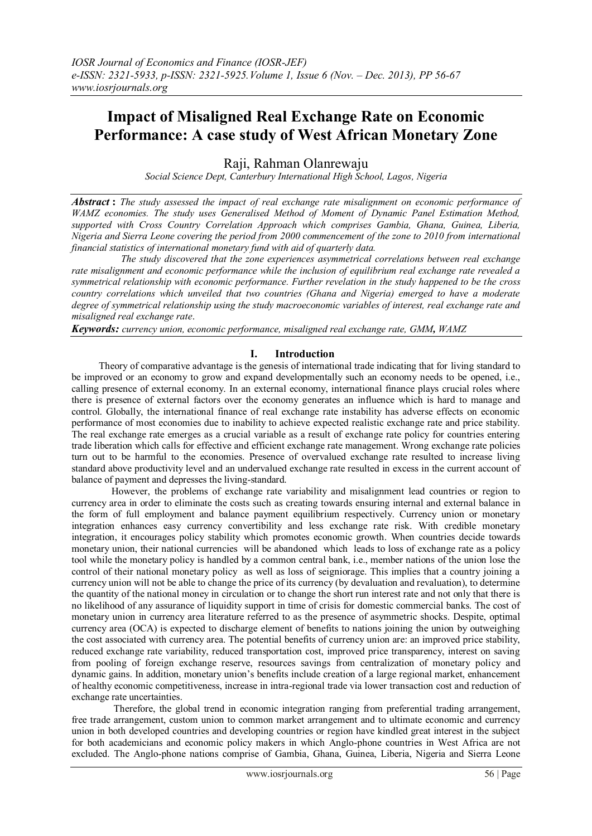# **Impact of Misaligned Real Exchange Rate on Economic Performance: A case study of West African Monetary Zone**

Raji, Rahman Olanrewaju

*Social Science Dept, Canterbury International High School, Lagos, Nigeria*

*Abstract* **:** *The study assessed the impact of real exchange rate misalignment on economic performance of WAMZ economies. The study uses Generalised Method of Moment of Dynamic Panel Estimation Method, supported with Cross Country Correlation Approach which comprises Gambia, Ghana, Guinea, Liberia, Nigeria and Sierra Leone covering the period from 2000 commencement of the zone to 2010 from international financial statistics of international monetary fund with aid of quarterly data.* 

 *The study discovered that the zone experiences asymmetrical correlations between real exchange rate misalignment and economic performance while the inclusion of equilibrium real exchange rate revealed a symmetrical relationship with economic performance. Further revelation in the study happened to be the cross country correlations which unveiled that two countries (Ghana and Nigeria) emerged to have a moderate degree of symmetrical relationship using the study macroeconomic variables of interest, real exchange rate and misaligned real exchange rate*.

*Keywords: currency union, economic performance, misaligned real exchange rate, GMM, WAMZ* 

### **I. Introduction**

Theory of comparative advantage is the genesis of international trade indicating that for living standard to be improved or an economy to grow and expand developmentally such an economy needs to be opened, i.e., calling presence of external economy. In an external economy, international finance plays crucial roles where there is presence of external factors over the economy generates an influence which is hard to manage and control. Globally, the international finance of real exchange rate instability has adverse effects on economic performance of most economies due to inability to achieve expected realistic exchange rate and price stability. The real exchange rate emerges as a crucial variable as a result of exchange rate policy for countries entering trade liberation which calls for effective and efficient exchange rate management. Wrong exchange rate policies turn out to be harmful to the economies. Presence of overvalued exchange rate resulted to increase living standard above productivity level and an undervalued exchange rate resulted in excess in the current account of balance of payment and depresses the living-standard.

 However, the problems of exchange rate variability and misalignment lead countries or region to currency area in order to eliminate the costs such as creating towards ensuring internal and external balance in the form of full employment and balance payment equilibrium respectively. Currency union or monetary integration enhances easy currency convertibility and less exchange rate risk. With credible monetary integration, it encourages policy stability which promotes economic growth. When countries decide towards monetary union, their national currencies will be abandoned which leads to loss of exchange rate as a policy tool while the monetary policy is handled by a common central bank, i.e., member nations of the union lose the control of their national monetary policy as well as loss of seigniorage. This implies that a country joining a currency union will not be able to change the price of its currency (by devaluation and revaluation), to determine the quantity of the national money in circulation or to change the short run interest rate and not only that there is no likelihood of any assurance of liquidity support in time of crisis for domestic commercial banks. The cost of monetary union in currency area literature referred to as the presence of asymmetric shocks. Despite, optimal currency area (OCA) is expected to discharge element of benefits to nations joining the union by outweighing the cost associated with currency area. The potential benefits of currency union are: an improved price stability, reduced exchange rate variability, reduced transportation cost, improved price transparency, interest on saving from pooling of foreign exchange reserve, resources savings from centralization of monetary policy and dynamic gains. In addition, monetary union"s benefits include creation of a large regional market, enhancement of healthy economic competitiveness, increase in intra-regional trade via lower transaction cost and reduction of exchange rate uncertainties.

 Therefore, the global trend in economic integration ranging from preferential trading arrangement, free trade arrangement, custom union to common market arrangement and to ultimate economic and currency union in both developed countries and developing countries or region have kindled great interest in the subject for both academicians and economic policy makers in which Anglo-phone countries in West Africa are not excluded. The Anglo-phone nations comprise of Gambia, Ghana, Guinea, Liberia, Nigeria and Sierra Leone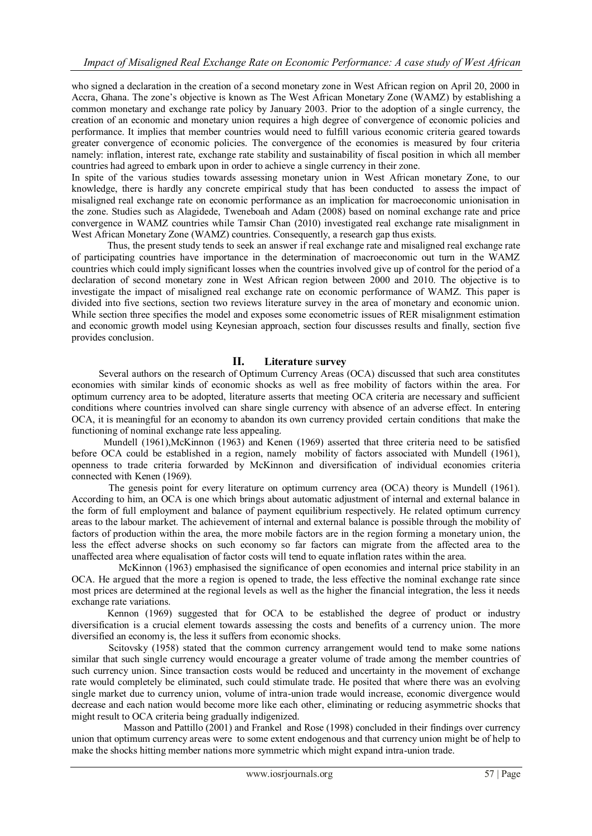who signed a declaration in the creation of a second monetary zone in West African region on April 20, 2000 in Accra, Ghana. The zone"s objective is known as The West African Monetary Zone (WAMZ) by establishing a common monetary and exchange rate policy by January 2003. Prior to the adoption of a single currency, the creation of an economic and monetary union requires a high degree of convergence of economic policies and performance. It implies that member countries would need to fulfill various economic criteria geared towards greater convergence of economic policies. The convergence of the economies is measured by four criteria namely: inflation, interest rate, exchange rate stability and sustainability of fiscal position in which all member countries had agreed to embark upon in order to achieve a single currency in their zone.

In spite of the various studies towards assessing monetary union in West African monetary Zone, to our knowledge, there is hardly any concrete empirical study that has been conducted to assess the impact of misaligned real exchange rate on economic performance as an implication for macroeconomic unionisation in the zone. Studies such as Alagidede, Tweneboah and Adam (2008) based on nominal exchange rate and price convergence in WAMZ countries while Tamsir Chan (2010) investigated real exchange rate misalignment in West African Monetary Zone (WAMZ) countries. Consequently, a research gap thus exists.

Thus, the present study tends to seek an answer if real exchange rate and misaligned real exchange rate of participating countries have importance in the determination of macroeconomic out turn in the WAMZ countries which could imply significant losses when the countries involved give up of control for the period of a declaration of second monetary zone in West African region between 2000 and 2010. The objective is to investigate the impact of misaligned real exchange rate on economic performance of WAMZ. This paper is divided into five sections, section two reviews literature survey in the area of monetary and economic union. While section three specifies the model and exposes some econometric issues of RER misalignment estimation and economic growth model using Keynesian approach, section four discusses results and finally, section five provides conclusion.

## **II. Literature** s**urvey**

Several authors on the research of Optimum Currency Areas (OCA) discussed that such area constitutes economies with similar kinds of economic shocks as well as free mobility of factors within the area. For optimum currency area to be adopted, literature asserts that meeting OCA criteria are necessary and sufficient conditions where countries involved can share single currency with absence of an adverse effect. In entering OCA, it is meaningful for an economy to abandon its own currency provided certain conditions that make the functioning of nominal exchange rate less appealing.

 Mundell (1961),McKinnon (1963) and Kenen (1969) asserted that three criteria need to be satisfied before OCA could be established in a region, namely mobility of factors associated with Mundell (1961), openness to trade criteria forwarded by McKinnon and diversification of individual economies criteria connected with Kenen (1969).

 The genesis point for every literature on optimum currency area (OCA) theory is Mundell (1961). According to him, an OCA is one which brings about automatic adjustment of internal and external balance in the form of full employment and balance of payment equilibrium respectively. He related optimum currency areas to the labour market. The achievement of internal and external balance is possible through the mobility of factors of production within the area, the more mobile factors are in the region forming a monetary union, the less the effect adverse shocks on such economy so far factors can migrate from the affected area to the unaffected area where equalisation of factor costs will tend to equate inflation rates within the area.

 McKinnon (1963) emphasised the significance of open economies and internal price stability in an OCA. He argued that the more a region is opened to trade, the less effective the nominal exchange rate since most prices are determined at the regional levels as well as the higher the financial integration, the less it needs exchange rate variations.

Kennon (1969) suggested that for OCA to be established the degree of product or industry diversification is a crucial element towards assessing the costs and benefits of a currency union. The more diversified an economy is, the less it suffers from economic shocks.

 Scitovsky (1958) stated that the common currency arrangement would tend to make some nations similar that such single currency would encourage a greater volume of trade among the member countries of such currency union. Since transaction costs would be reduced and uncertainty in the movement of exchange rate would completely be eliminated, such could stimulate trade. He posited that where there was an evolving single market due to currency union, volume of intra-union trade would increase, economic divergence would decrease and each nation would become more like each other, eliminating or reducing asymmetric shocks that might result to OCA criteria being gradually indigenized.

 Masson and Pattillo (2001) and Frankel and Rose (1998) concluded in their findings over currency union that optimum currency areas were to some extent endogenous and that currency union might be of help to make the shocks hitting member nations more symmetric which might expand intra-union trade.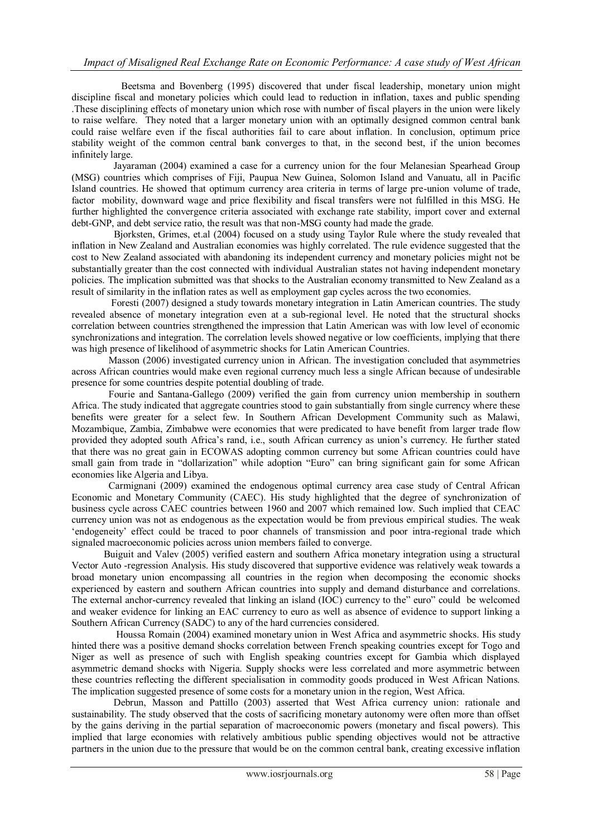Beetsma and Bovenberg (1995) discovered that under fiscal leadership, monetary union might discipline fiscal and monetary policies which could lead to reduction in inflation, taxes and public spending .These disciplining effects of monetary union which rose with number of fiscal players in the union were likely to raise welfare. They noted that a larger monetary union with an optimally designed common central bank could raise welfare even if the fiscal authorities fail to care about inflation. In conclusion, optimum price stability weight of the common central bank converges to that, in the second best, if the union becomes infinitely large.

 Jayaraman (2004) examined a case for a currency union for the four Melanesian Spearhead Group (MSG) countries which comprises of Fiji, Paupua New Guinea, Solomon Island and Vanuatu, all in Pacific Island countries. He showed that optimum currency area criteria in terms of large pre-union volume of trade, factor mobility, downward wage and price flexibility and fiscal transfers were not fulfilled in this MSG. He further highlighted the convergence criteria associated with exchange rate stability, import cover and external debt-GNP, and debt service ratio, the result was that non-MSG county had made the grade.

 Bjorksten, Grimes, et.al (2004) focused on a study using Taylor Rule where the study revealed that inflation in New Zealand and Australian economies was highly correlated. The rule evidence suggested that the cost to New Zealand associated with abandoning its independent currency and monetary policies might not be substantially greater than the cost connected with individual Australian states not having independent monetary policies. The implication submitted was that shocks to the Australian economy transmitted to New Zealand as a result of similarity in the inflation rates as well as employment gap cycles across the two economies.

 Foresti (2007) designed a study towards monetary integration in Latin American countries. The study revealed absence of monetary integration even at a sub-regional level. He noted that the structural shocks correlation between countries strengthened the impression that Latin American was with low level of economic synchronizations and integration. The correlation levels showed negative or low coefficients, implying that there was high presence of likelihood of asymmetric shocks for Latin American Countries.

 Masson (2006) investigated currency union in African. The investigation concluded that asymmetries across African countries would make even regional currency much less a single African because of undesirable presence for some countries despite potential doubling of trade.

 Fourie and Santana-Gallego (2009) verified the gain from currency union membership in southern Africa. The study indicated that aggregate countries stood to gain substantially from single currency where these benefits were greater for a select few. In Southern African Development Community such as Malawi, Mozambique, Zambia, Zimbabwe were economies that were predicated to have benefit from larger trade flow provided they adopted south Africa"s rand, i.e., south African currency as union"s currency. He further stated that there was no great gain in ECOWAS adopting common currency but some African countries could have small gain from trade in "dollarization" while adoption "Euro" can bring significant gain for some African economies like Algeria and Libya.

 Carmignani (2009) examined the endogenous optimal currency area case study of Central African Economic and Monetary Community (CAEC). His study highlighted that the degree of synchronization of business cycle across CAEC countries between 1960 and 2007 which remained low. Such implied that CEAC currency union was not as endogenous as the expectation would be from previous empirical studies. The weak "endogeneity" effect could be traced to poor channels of transmission and poor intra-regional trade which signaled macroeconomic policies across union members failed to converge.

 Buiguit and Valev (2005) verified eastern and southern Africa monetary integration using a structural Vector Auto -regression Analysis. His study discovered that supportive evidence was relatively weak towards a broad monetary union encompassing all countries in the region when decomposing the economic shocks experienced by eastern and southern African countries into supply and demand disturbance and correlations. The external anchor-currency revealed that linking an island (IOC) currency to the" euro" could be welcomed and weaker evidence for linking an EAC currency to euro as well as absence of evidence to support linking a Southern African Currency (SADC) to any of the hard currencies considered.

 Houssa Romain (2004) examined monetary union in West Africa and asymmetric shocks. His study hinted there was a positive demand shocks correlation between French speaking countries except for Togo and Niger as well as presence of such with English speaking countries except for Gambia which displayed asymmetric demand shocks with Nigeria. Supply shocks were less correlated and more asymmetric between these countries reflecting the different specialisation in commodity goods produced in West African Nations. The implication suggested presence of some costs for a monetary union in the region, West Africa.

 Debrun, Masson and Pattillo (2003) asserted that West Africa currency union: rationale and sustainability. The study observed that the costs of sacrificing monetary autonomy were often more than offset by the gains deriving in the partial separation of macroeconomic powers (monetary and fiscal powers). This implied that large economies with relatively ambitious public spending objectives would not be attractive partners in the union due to the pressure that would be on the common central bank, creating excessive inflation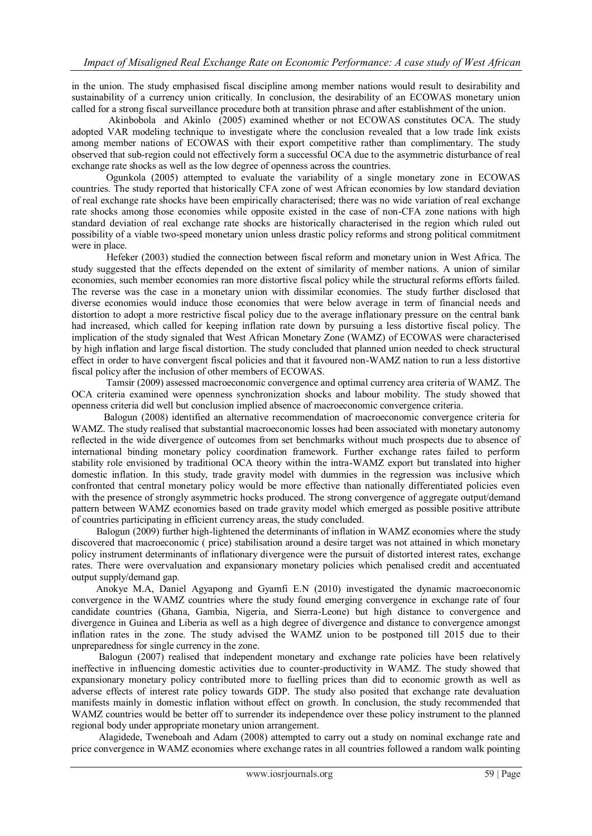in the union. The study emphasised fiscal discipline among member nations would result to desirability and sustainability of a currency union critically. In conclusion, the desirability of an ECOWAS monetary union called for a strong fiscal surveillance procedure both at transition phrase and after establishment of the union.

 Akinbobola and Akinlo (2005) examined whether or not ECOWAS constitutes OCA. The study adopted VAR modeling technique to investigate where the conclusion revealed that a low trade link exists among member nations of ECOWAS with their export competitive rather than complimentary. The study observed that sub-region could not effectively form a successful OCA due to the asymmetric disturbance of real exchange rate shocks as well as the low degree of openness across the countries.

 Ogunkola (2005) attempted to evaluate the variability of a single monetary zone in ECOWAS countries. The study reported that historically CFA zone of west African economies by low standard deviation of real exchange rate shocks have been empirically characterised; there was no wide variation of real exchange rate shocks among those economies while opposite existed in the case of non-CFA zone nations with high standard deviation of real exchange rate shocks are historically characterised in the region which ruled out possibility of a viable two-speed monetary union unless drastic policy reforms and strong political commitment were in place.

 Hefeker (2003) studied the connection between fiscal reform and monetary union in West Africa. The study suggested that the effects depended on the extent of similarity of member nations. A union of similar economies, such member economies ran more distortive fiscal policy while the structural reforms efforts failed. The reverse was the case in a monetary union with dissimilar economies. The study further disclosed that diverse economies would induce those economies that were below average in term of financial needs and distortion to adopt a more restrictive fiscal policy due to the average inflationary pressure on the central bank had increased, which called for keeping inflation rate down by pursuing a less distortive fiscal policy. The implication of the study signaled that West African Monetary Zone (WAMZ) of ECOWAS were characterised by high inflation and large fiscal distortion. The study concluded that planned union needed to check structural effect in order to have convergent fiscal policies and that it favoured non-WAMZ nation to run a less distortive fiscal policy after the inclusion of other members of ECOWAS.

 Tamsir (2009) assessed macroeconomic convergence and optimal currency area criteria of WAMZ. The OCA criteria examined were openness synchronization shocks and labour mobility. The study showed that openness criteria did well but conclusion implied absence of macroeconomic convergence criteria.

 Balogun (2008) identified an alternative recommendation of macroeconomic convergence criteria for WAMZ. The study realised that substantial macroeconomic losses had been associated with monetary autonomy reflected in the wide divergence of outcomes from set benchmarks without much prospects due to absence of international binding monetary policy coordination framework. Further exchange rates failed to perform stability role envisioned by traditional OCA theory within the intra-WAMZ export but translated into higher domestic inflation. In this study, trade gravity model with dummies in the regression was inclusive which confronted that central monetary policy would be more effective than nationally differentiated policies even with the presence of strongly asymmetric hocks produced. The strong convergence of aggregate output/demand pattern between WAMZ economies based on trade gravity model which emerged as possible positive attribute of countries participating in efficient currency areas, the study concluded.

 Balogun (2009) further high-lightened the determinants of inflation in WAMZ economies where the study discovered that macroeconomic ( price) stabilisation around a desire target was not attained in which monetary policy instrument determinants of inflationary divergence were the pursuit of distorted interest rates, exchange rates. There were overvaluation and expansionary monetary policies which penalised credit and accentuated output supply/demand gap.

 Anokye M.A, Daniel Agyapong and Gyamfi E.N (2010) investigated the dynamic macroeconomic convergence in the WAMZ countries where the study found emerging convergence in exchange rate of four candidate countries (Ghana, Gambia, Nigeria, and Sierra-Leone) but high distance to convergence and divergence in Guinea and Liberia as well as a high degree of divergence and distance to convergence amongst inflation rates in the zone. The study advised the WAMZ union to be postponed till 2015 due to their unpreparedness for single currency in the zone.

 Balogun (2007) realised that independent monetary and exchange rate policies have been relatively ineffective in influencing domestic activities due to counter-productivity in WAMZ. The study showed that expansionary monetary policy contributed more to fuelling prices than did to economic growth as well as adverse effects of interest rate policy towards GDP. The study also posited that exchange rate devaluation manifests mainly in domestic inflation without effect on growth. In conclusion, the study recommended that WAMZ countries would be better off to surrender its independence over these policy instrument to the planned regional body under appropriate monetary union arrangement.

 Alagidede, Tweneboah and Adam (2008) attempted to carry out a study on nominal exchange rate and price convergence in WAMZ economies where exchange rates in all countries followed a random walk pointing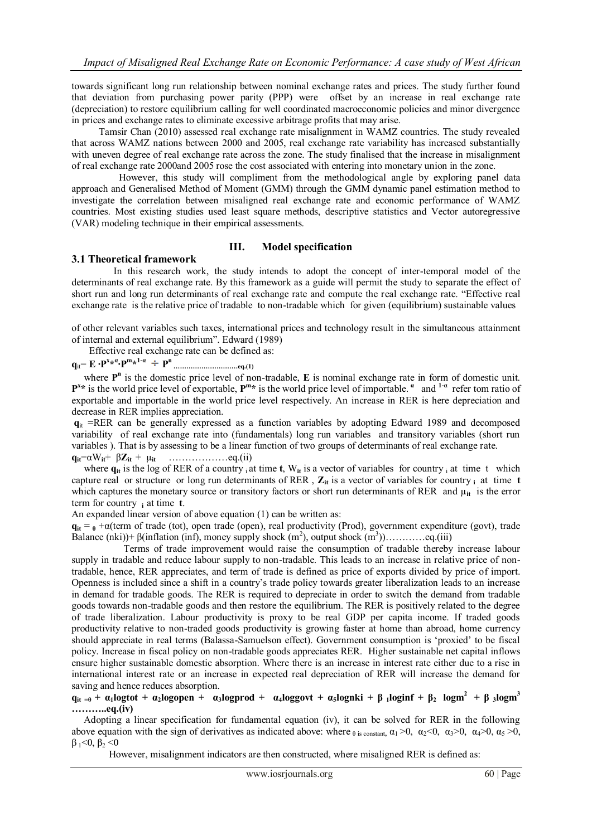towards significant long run relationship between nominal exchange rates and prices. The study further found that deviation from purchasing power parity (PPP) were offset by an increase in real exchange rate (depreciation) to restore equilibrium calling for well coordinated macroeconomic policies and minor divergence in prices and exchange rates to eliminate excessive arbitrage profits that may arise.

 Tamsir Chan (2010) assessed real exchange rate misalignment in WAMZ countries. The study revealed that across WAMZ nations between 2000 and 2005, real exchange rate variability has increased substantially with uneven degree of real exchange rate across the zone. The study finalised that the increase in misalignment of real exchange rate 2000and 2005 rose the cost associated with entering into monetary union in the zone.

 However, this study will compliment from the methodological angle by exploring panel data approach and Generalised Method of Moment (GMM) through the GMM dynamic panel estimation method to investigate the correlation between misaligned real exchange rate and economic performance of WAMZ countries. Most existing studies used least square methods, descriptive statistics and Vector autoregressive (VAR) modeling technique in their empirical assessments.

#### **III. Model specification**

#### **3.1 Theoretical framework**

 In this research work, the study intends to adopt the concept of inter-temporal model of the determinants of real exchange rate. By this framework as a guide will permit the study to separate the effect of short run and long run determinants of real exchange rate and compute the real exchange rate. "Effective real exchange rate is the relative price of tradable to non-tradable which for given (equilibrium) sustainable values

of other relevant variables such taxes, international prices and technology result in the simultaneous attainment of internal and external equilibrium". Edward (1989)

Effective real exchange rate can be defined as:

**q**it= **E ∙P<sup>x</sup> \* α ∙Р m \* 1α Р n …………………………eq.(1)**

where  $P<sup>n</sup>$  is the domestic price level of non-tradable, **E** is nominal exchange rate in form of domestic unit.  $P^{x*}$  is the world price level of exportable,  $P^{m*}$  is the world price level of importable.  $a$  and  $P^{a}$  refer tom ratio of exportable and importable in the world price level respectively. An increase in RER is here depreciation and decrease in RER implies appreciation.

 $q_{it}$  =RER can be generally expressed as a function variables by adopting Edward 1989 and decomposed variability of real exchange rate into (fundamentals) long run variables and transitory variables (short run variables ). That is by assessing to be a linear function of two groups of determinants of real exchange rate. **qit**=αW**it**+ β**Zit** + µ**it** ………………eq.(ii)

where  $q_{it}$  is the log of RER of a country i at time **t**, W<sub>it</sub> is a vector of variables for country i at time t which capture real or structure or long run determinants of RER,  $Z_{it}$  is a vector of variables for country  $\boldsymbol{i}$  at time  $\boldsymbol{t}$ which captures the monetary source or transitory factors or short run determinants of RER and  $\mu_{it}$  is the error term for country **i** at time **t**.

An expanded linear version of above equation (1) can be written as:

 $q_{it} = \theta + \alpha$ (term of trade (tot), open trade (open), real productivity (Prod), government expenditure (govt), trade Balance (nki))+  $\beta$ (inflation (inf), money supply shock (m<sup>2</sup>), output shock (m<sup>3</sup>))...............eq.(iii)

 Terms of trade improvement would raise the consumption of tradable thereby increase labour supply in tradable and reduce labour supply to non-tradable. This leads to an increase in relative price of nontradable, hence, RER appreciates, and term of trade is defined as price of exports divided by price of import. Openness is included since a shift in a country"s trade policy towards greater liberalization leads to an increase in demand for tradable goods. The RER is required to depreciate in order to switch the demand from tradable goods towards non-tradable goods and then restore the equilibrium. The RER is positively related to the degree of trade liberalization. Labour productivity is proxy to be real GDP per capita income. If traded goods productivity relative to non-traded goods productivity is growing faster at home than abroad, home currency should appreciate in real terms (Balassa-Samuelson effect). Government consumption is "proxied" to be fiscal policy. Increase in fiscal policy on non-tradable goods appreciates RER. Higher sustainable net capital inflows ensure higher sustainable domestic absorption. Where there is an increase in interest rate either due to a rise in international interest rate or an increase in expected real depreciation of RER will increase the demand for saving and hence reduces absorption.

### $q_{it} = \vec{q} + \alpha_1 \log t$  +  $\alpha_2 \log t$  +  $\alpha_3 \log t$  +  $\alpha_4 \log t$  +  $\alpha_4 \log t$  +  $\alpha_5 \log t$  +  $\beta_1 \log t$  +  $\beta_2 \log t$  +  $\beta_3 \log t$  +  $\beta_4 \log t$ **………..eq.(iv)**

 Adopting a linear specification for fundamental equation (iv), it can be solved for RER in the following above equation with the sign of derivatives as indicated above: where  $\theta$  is constant,  $\alpha_1 > 0$ ,  $\alpha_2 < 0$ ,  $\alpha_3 > 0$ ,  $\alpha_4 > 0$ ,  $\alpha_5 > 0$ ,  $β<sub>1</sub> < 0, β<sub>2</sub> < 0$ 

However, misalignment indicators are then constructed, where misaligned RER is defined as: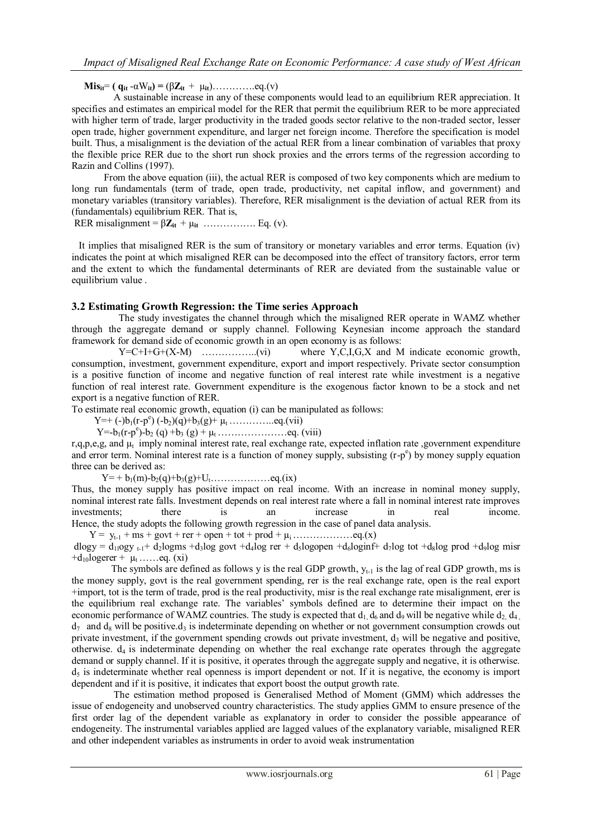**Mis**<sub>it</sub><sup>=</sup> **(**  $q_{it} - \alpha W_{it}$ ) = ( $\beta Z_{it} + \mu_{it}$ )…………...eq.(v)

 A sustainable increase in any of these components would lead to an equilibrium RER appreciation. It specifies and estimates an empirical model for the RER that permit the equilibrium RER to be more appreciated with higher term of trade, larger productivity in the traded goods sector relative to the non-traded sector, lesser open trade, higher government expenditure, and larger net foreign income. Therefore the specification is model built. Thus, a misalignment is the deviation of the actual RER from a linear combination of variables that proxy the flexible price RER due to the short run shock proxies and the errors terms of the regression according to Razin and Collins (1997).

 From the above equation (iii), the actual RER is composed of two key components which are medium to long run fundamentals (term of trade, open trade, productivity, net capital inflow, and government) and monetary variables (transitory variables). Therefore, RER misalignment is the deviation of actual RER from its (fundamentals) equilibrium RER. That is,

RER misalignment =  $\beta Z_{it}$  +  $\mu_{it}$  ……………. Eq. (v).

 It implies that misaligned RER is the sum of transitory or monetary variables and error terms. Equation (iv) indicates the point at which misaligned RER can be decomposed into the effect of transitory factors, error term and the extent to which the fundamental determinants of RER are deviated from the sustainable value or equilibrium value .

### **3.2 Estimating Growth Regression: the Time series Approach**

 The study investigates the channel through which the misaligned RER operate in WAMZ whether through the aggregate demand or supply channel. Following Keynesian income approach the standard framework for demand side of economic growth in an open economy is as follows:

 Y=C+I+G+(X-M) ……………..(vi) where Y,C,I,G,X and M indicate economic growth, consumption, investment, government expenditure, export and import respectively. Private sector consumption is a positive function of income and negative function of real interest rate while investment is a negative function of real interest rate. Government expenditure is the exogenous factor known to be a stock and net export is a negative function of RER.

To estimate real economic growth, equation (i) can be manipulated as follows:

Y=+ (-)b<sub>1</sub>(r-p<sup>e</sup>) (-b<sub>2</sub>)(q)+b<sub>3</sub>(g)+  $\mu_t$  … ……... eq.(vii)

Y=-b1(r-p e )-b<sup>2</sup> (q) +b<sup>3</sup> (g) + µt …………………eq. (viii)

r,q,p,e,g, and  $\mu_t$  imply nominal interest rate, real exchange rate, expected inflation rate ,government expenditure and error term. Nominal interest rate is a function of money supply, subsisting  $(r-p<sup>e</sup>)$  by money supply equation three can be derived as:

Y= + b1(m)-b2(q)+b3(g)+Ut………………eq.(ix)

Thus, the money supply has positive impact on real income. With an increase in nominal money supply, nominal interest rate falls. Investment depends on real interest rate where a fall in nominal interest rate improves investments; there is an increase in real income. Hence, the study adopts the following growth regression in the case of panel data analysis.

Y = yt-1 + ms + govt + rer + open + tot + prod + µi………………eq.(x)

dlogy =  $d_{11}$ ogy <sub>t-1</sub>+  $d_2$ logms + $d_3$ log govt + $d_4$ log rer +  $d_5$ logopen + $d_6$ loginf+  $d_7$ log tot + $d_8$ log prod + $d_9$ log misr  $+d_{10}$ logerer +  $\mu_t$  ……eq. (xi)

The symbols are defined as follows y is the real GDP growth,  $y_{t-1}$  is the lag of real GDP growth, ms is the money supply, govt is the real government spending, rer is the real exchange rate, open is the real export +import, tot is the term of trade, prod is the real productivity, misr is the real exchange rate misalignment, erer is the equilibrium real exchange rate. The variables" symbols defined are to determine their impact on the economic performance of WAMZ countries. The study is expected that  $d_1, d_6$  and  $d_9$  will be negative while  $d_2, d_4$ .  $d_7$  and  $d_8$  will be positive.  $d_3$  is indeterminate depending on whether or not government consumption crowds out private investment, if the government spending crowds out private investment,  $d_3$  will be negative and positive, otherwise.  $d_4$  is indeterminate depending on whether the real exchange rate operates through the aggregate demand or supply channel. If it is positive, it operates through the aggregate supply and negative, it is otherwise.  $d_5$  is indeterminate whether real openness is import dependent or not. If it is negative, the economy is import dependent and if it is positive, it indicates that export boost the output growth rate.

 The estimation method proposed is Generalised Method of Moment (GMM) which addresses the issue of endogeneity and unobserved country characteristics. The study applies GMM to ensure presence of the first order lag of the dependent variable as explanatory in order to consider the possible appearance of endogeneity. The instrumental variables applied are lagged values of the explanatory variable, misaligned RER and other independent variables as instruments in order to avoid weak instrumentation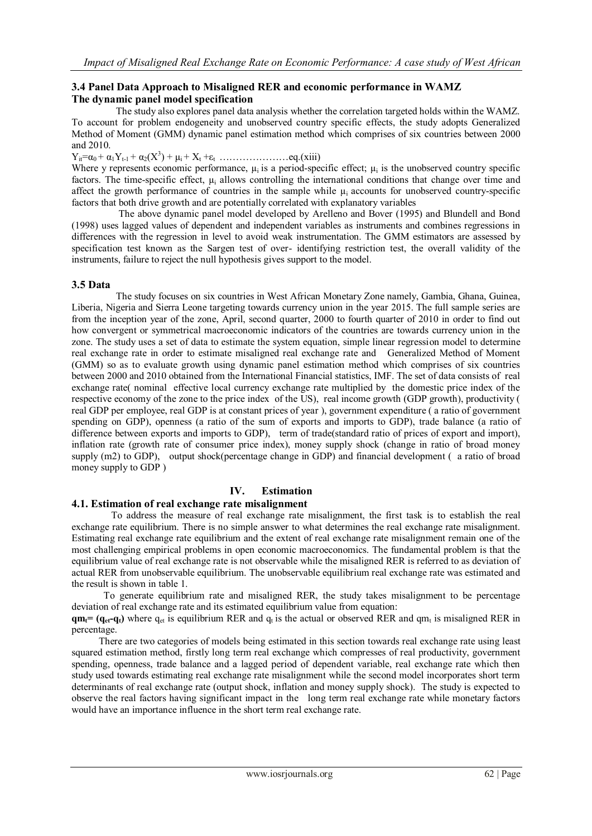## **3.4 Panel Data Approach to Misaligned RER and economic performance in WAMZ The dynamic panel model specification**

 The study also explores panel data analysis whether the correlation targeted holds within the WAMZ. To account for problem endogeneity and unobserved country specific effects, the study adopts Generalized Method of Moment (GMM) dynamic panel estimation method which comprises of six countries between 2000 and 2010.

Yit=α0 + α1Yt-1 + α2(X<sup>3</sup> ) + µi + X<sup>t</sup> +εt …………………eq.(xiii)

Where y represents economic performance,  $\mu_i$  is a period-specific effect;  $\mu_i$  is the unobserved country specific factors. The time-specific effect, µ<sup>i</sup> allows controlling the international conditions that change over time and affect the growth performance of countries in the sample while  $\mu_i$  accounts for unobserved country-specific factors that both drive growth and are potentially correlated with explanatory variables

 The above dynamic panel model developed by Arelleno and Bover (1995) and Blundell and Bond (1998) uses lagged values of dependent and independent variables as instruments and combines regressions in differences with the regression in level to avoid weak instrumentation. The GMM estimators are assessed by specification test known as the Sargen test of over- identifying restriction test, the overall validity of the instruments, failure to reject the null hypothesis gives support to the model.

### **3.5 Data**

 The study focuses on six countries in West African Monetary Zone namely, Gambia, Ghana, Guinea, Liberia, Nigeria and Sierra Leone targeting towards currency union in the year 2015. The full sample series are from the inception year of the zone, April, second quarter, 2000 to fourth quarter of 2010 in order to find out how convergent or symmetrical macroeconomic indicators of the countries are towards currency union in the zone. The study uses a set of data to estimate the system equation, simple linear regression model to determine real exchange rate in order to estimate misaligned real exchange rate and Generalized Method of Moment (GMM) so as to evaluate growth using dynamic panel estimation method which comprises of six countries between 2000 and 2010 obtained from the International Financial statistics, IMF. The set of data consists of real exchange rate( nominal effective local currency exchange rate multiplied by the domestic price index of the respective economy of the zone to the price index of the US), real income growth (GDP growth), productivity ( real GDP per employee, real GDP is at constant prices of year ), government expenditure ( a ratio of government spending on GDP), openness (a ratio of the sum of exports and imports to GDP), trade balance (a ratio of difference between exports and imports to GDP), term of trade(standard ratio of prices of export and import), inflation rate (growth rate of consumer price index), money supply shock (change in ratio of broad money supply (m2) to GDP), output shock(percentage change in GDP) and financial development ( a ratio of broad money supply to GDP )

# **IV. Estimation**

# **4.1. Estimation of real exchange rate misalignment**

 To address the measure of real exchange rate misalignment, the first task is to establish the real exchange rate equilibrium. There is no simple answer to what determines the real exchange rate misalignment. Estimating real exchange rate equilibrium and the extent of real exchange rate misalignment remain one of the most challenging empirical problems in open economic macroeconomics. The fundamental problem is that the equilibrium value of real exchange rate is not observable while the misaligned RER is referred to as deviation of actual RER from unobservable equilibrium. The unobservable equilibrium real exchange rate was estimated and the result is shown in table 1.

 To generate equilibrium rate and misaligned RER, the study takes misalignment to be percentage deviation of real exchange rate and its estimated equilibrium value from equation:

 $q_{\text{eff}}(q_{\text{eff}}-q_{\text{t}})$  where  $q_{\text{et}}$  is equilibrium RER and  $q_{\text{t}}$  is the actual or observed RER and  $qm_{\text{t}}$  is misaligned RER in percentage.

 There are two categories of models being estimated in this section towards real exchange rate using least squared estimation method, firstly long term real exchange which compresses of real productivity, government spending, openness, trade balance and a lagged period of dependent variable, real exchange rate which then study used towards estimating real exchange rate misalignment while the second model incorporates short term determinants of real exchange rate (output shock, inflation and money supply shock). The study is expected to observe the real factors having significant impact in the long term real exchange rate while monetary factors would have an importance influence in the short term real exchange rate.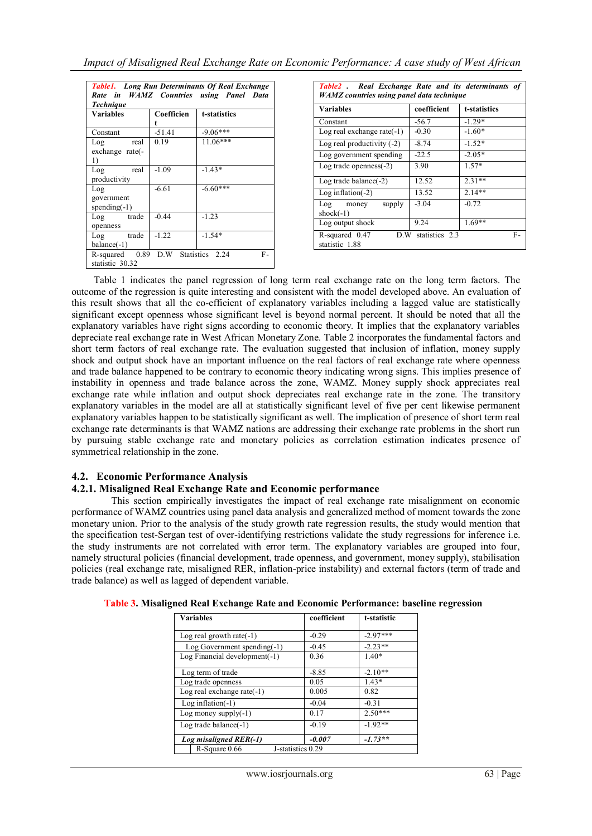| <b>Table1.</b> Long Run Determinants Of Real Exchange<br>Rate in WAMZ Countries using Panel Data |                 |              |  |  |  |
|--------------------------------------------------------------------------------------------------|-----------------|--------------|--|--|--|
| <b>Technique</b><br><b>Variables</b>                                                             | Coefficien<br>t | t-statistics |  |  |  |
| Constant                                                                                         | $-51.41$        | $-9.06***$   |  |  |  |
| real<br>Log<br>exchange rate(-<br>1)                                                             | 0.19            | $11.06***$   |  |  |  |
| Log real<br>productivity                                                                         | $-1.09$         | $-1.43*$     |  |  |  |
| Log<br>government<br>spending $(-1)$                                                             | $-6.61$         | $-6.60***$   |  |  |  |
| Log trade<br>openness                                                                            | $-0.44$         | $-1.23$      |  |  |  |
| Log trade<br>$balance(-1)$                                                                       | $-1.22$         | $-1.54*$     |  |  |  |
| R-squared 0.89 D.W Statistics 2.24<br>F-<br>statistic 30.32                                      |                 |              |  |  |  |

| Table2 . Real Exchange Rate and its determinants of<br><b>WAMZ</b> countries using panel data technique |             |              |  |  |  |
|---------------------------------------------------------------------------------------------------------|-------------|--------------|--|--|--|
| Variables                                                                                               | coefficient | t-statistics |  |  |  |
| Constant                                                                                                | $-56.7$     | $-1.29*$     |  |  |  |
| Log real exchange rate $(-1)$                                                                           | $-0.30$     | $-1.60*$     |  |  |  |
| Log real productivity $(-2)$                                                                            | $-8.74$     | $-1.52*$     |  |  |  |
| Log government spending                                                                                 | $-22.5$     | $-2.05*$     |  |  |  |
| Log trade openness $(-2)$                                                                               | 3.90        | $1.57*$      |  |  |  |
| Log trade balance $(-2)$                                                                                | 12.52       | $2.31**$     |  |  |  |
| Log inflation $(-2)$                                                                                    | 13.52       | $2.14**$     |  |  |  |
| supply<br>Log<br>money<br>shock $(-1)$                                                                  | $-3.04$     | $-0.72$      |  |  |  |
| Log output shock                                                                                        | 9.24        | $1.69**$     |  |  |  |
| statistics 2.3<br>R-squared 0.47<br>D.W<br>F-<br>statistic 1.88                                         |             |              |  |  |  |

 Table 1 indicates the panel regression of long term real exchange rate on the long term factors. The outcome of the regression is quite interesting and consistent with the model developed above. An evaluation of this result shows that all the co-efficient of explanatory variables including a lagged value are statistically significant except openness whose significant level is beyond normal percent. It should be noted that all the explanatory variables have right signs according to economic theory. It implies that the explanatory variables depreciate real exchange rate in West African Monetary Zone. Table 2 incorporates the fundamental factors and short term factors of real exchange rate. The evaluation suggested that inclusion of inflation, money supply shock and output shock have an important influence on the real factors of real exchange rate where openness and trade balance happened to be contrary to economic theory indicating wrong signs. This implies presence of instability in openness and trade balance across the zone, WAMZ. Money supply shock appreciates real exchange rate while inflation and output shock depreciates real exchange rate in the zone. The transitory explanatory variables in the model are all at statistically significant level of five per cent likewise permanent explanatory variables happen to be statistically significant as well. The implication of presence of short term real exchange rate determinants is that WAMZ nations are addressing their exchange rate problems in the short run by pursuing stable exchange rate and monetary policies as correlation estimation indicates presence of symmetrical relationship in the zone.

# **4.2. Economic Performance Analysis**

### **4.2.1. Misaligned Real Exchange Rate and Economic performance**

 This section empirically investigates the impact of real exchange rate misalignment on economic performance of WAMZ countries using panel data analysis and generalized method of moment towards the zone monetary union. Prior to the analysis of the study growth rate regression results, the study would mention that the specification test-Sergan test of over-identifying restrictions validate the study regressions for inference i.e. the study instruments are not correlated with error term. The explanatory variables are grouped into four, namely structural policies (financial development, trade openness, and government, money supply), stabilisation policies (real exchange rate, misaligned RER, inflation-price instability) and external factors (term of trade and trade balance) as well as lagged of dependent variable.

| <b>Variables</b>              | coefficient<br>t-statistic |            |  |
|-------------------------------|----------------------------|------------|--|
| Log real growth rate $(-1)$   | $-0.29$                    | $-2.97***$ |  |
| $Log Government spending(-1)$ | $-0.45$                    | $-2.23**$  |  |
| Log Financial development(-1) | 0.36                       | $1.40*$    |  |
| Log term of trade             | $-8.85$                    | $-2.10**$  |  |
| Log trade openness            | 0.05                       | $1.43*$    |  |
| Log real exchange rate $(-1)$ | 0.005                      | 0.82       |  |
| Log inflation $(-1)$          | $-0.04$                    | $-0.31$    |  |
| Log money supply $(-1)$       | 0.17                       | $2.50***$  |  |
| Log trade balance $(-1)$      | $-0.19$                    | $-1.92**$  |  |
| Log misaligned RER(-1)        | $-0.007$                   | $-1.73**$  |  |
| R-Square 0.66                 | J-statistics 0.29          |            |  |

| Table 3. Misaligned Real Exchange Rate and Economic Performance: baseline regression |  |  |
|--------------------------------------------------------------------------------------|--|--|
|                                                                                      |  |  |
|                                                                                      |  |  |
|                                                                                      |  |  |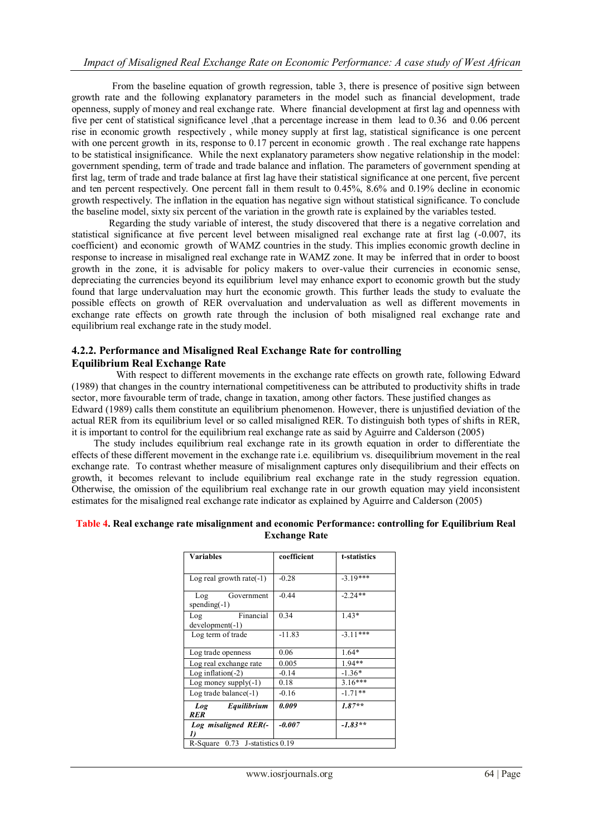From the baseline equation of growth regression, table 3, there is presence of positive sign between growth rate and the following explanatory parameters in the model such as financial development, trade openness, supply of money and real exchange rate. Where financial development at first lag and openness with five per cent of statistical significance level , that a percentage increase in them lead to 0.36 and 0.06 percent rise in economic growth respectively , while money supply at first lag, statistical significance is one percent with one percent growth in its, response to 0.17 percent in economic growth. The real exchange rate happens to be statistical insignificance. While the next explanatory parameters show negative relationship in the model: government spending, term of trade and trade balance and inflation. The parameters of government spending at first lag, term of trade and trade balance at first lag have their statistical significance at one percent, five percent and ten percent respectively. One percent fall in them result to 0.45%, 8.6% and 0.19% decline in economic growth respectively. The inflation in the equation has negative sign without statistical significance. To conclude the baseline model, sixty six percent of the variation in the growth rate is explained by the variables tested.

 Regarding the study variable of interest, the study discovered that there is a negative correlation and statistical significance at five percent level between misaligned real exchange rate at first lag (-0.007, its coefficient) and economic growth of WAMZ countries in the study. This implies economic growth decline in response to increase in misaligned real exchange rate in WAMZ zone. It may be inferred that in order to boost growth in the zone, it is advisable for policy makers to over-value their currencies in economic sense, depreciating the currencies beyond its equilibrium level may enhance export to economic growth but the study found that large undervaluation may hurt the economic growth. This further leads the study to evaluate the possible effects on growth of RER overvaluation and undervaluation as well as different movements in exchange rate effects on growth rate through the inclusion of both misaligned real exchange rate and equilibrium real exchange rate in the study model.

### **4.2.2. Performance and Misaligned Real Exchange Rate for controlling Equilibrium Real Exchange Rate**

 With respect to different movements in the exchange rate effects on growth rate, following Edward (1989) that changes in the country international competitiveness can be attributed to productivity shifts in trade sector, more favourable term of trade, change in taxation, among other factors. These justified changes as Edward (1989) calls them constitute an equilibrium phenomenon. However, there is unjustified deviation of the actual RER from its equilibrium level or so called misaligned RER. To distinguish both types of shifts in RER, it is important to control for the equilibrium real exchange rate as said by Aguirre and Calderson (2005)

 The study includes equilibrium real exchange rate in its growth equation in order to differentiate the effects of these different movement in the exchange rate i.e. equilibrium vs. disequilibrium movement in the real exchange rate. To contrast whether measure of misalignment captures only disequilibrium and their effects on growth, it becomes relevant to include equilibrium real exchange rate in the study regression equation. Otherwise, the omission of the equilibrium real exchange rate in our growth equation may yield inconsistent estimates for the misaligned real exchange rate indicator as explained by Aguirre and Calderson (2005)

| <b>Variables</b>                      | coefficient | t-statistics |
|---------------------------------------|-------------|--------------|
| Log real growth rate $(-1)$           | $-0.28$     | $-3.19***$   |
| Government<br>Log<br>spending $(-1)$  | $-0.44$     | $-2.24**$    |
| Financial<br>Log<br>$development(-1)$ | 0.34        | $1.43*$      |
| Log term of trade                     | $-11.83$    | $-3.11***$   |
| Log trade openness                    | 0.06        | $1.64*$      |
| Log real exchange rate                | 0.005       | 1.94**       |
| Log inflation $(-2)$                  | $-0.14$     | $-1.36*$     |
| Log money supply $(-1)$               | 0.18        | $3.16***$    |
| Log trade balance $(-1)$              | $-0.16$     | $-1.71**$    |
| Equilibrium<br>Log<br><b>RER</b>      | 0.009       | $1.87**$     |
| Log misaligned RER(-                  | $-0.007$    | $-1.83**$    |
| R-Square 0.73 J-statistics 0.19       |             |              |

#### **Table 4. Real exchange rate misalignment and economic Performance: controlling for Equilibrium Real Exchange Rate**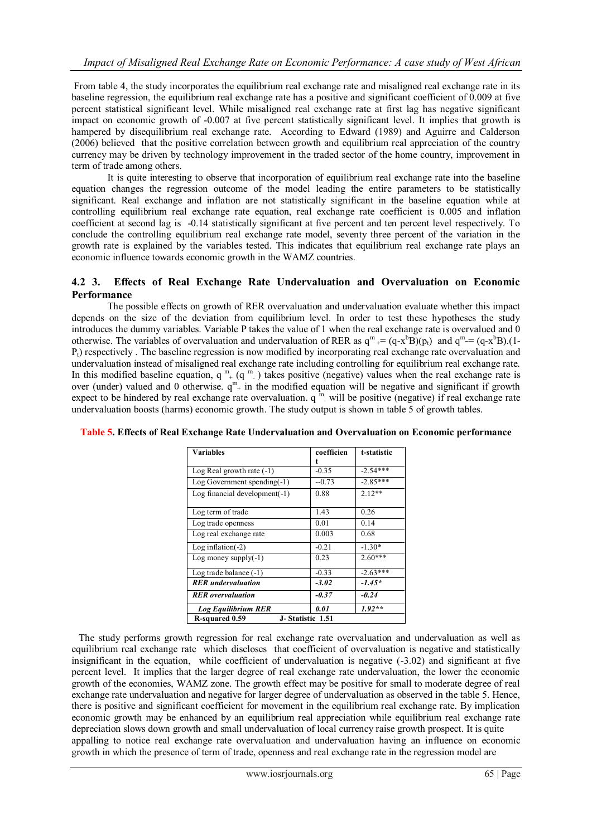From table 4, the study incorporates the equilibrium real exchange rate and misaligned real exchange rate in its baseline regression, the equilibrium real exchange rate has a positive and significant coefficient of 0.009 at five percent statistical significant level. While misaligned real exchange rate at first lag has negative significant impact on economic growth of -0.007 at five percent statistically significant level. It implies that growth is hampered by disequilibrium real exchange rate. According to Edward (1989) and Aguirre and Calderson (2006) believed that the positive correlation between growth and equilibrium real appreciation of the country currency may be driven by technology improvement in the traded sector of the home country, improvement in term of trade among others.

It is quite interesting to observe that incorporation of equilibrium real exchange rate into the baseline equation changes the regression outcome of the model leading the entire parameters to be statistically significant. Real exchange and inflation are not statistically significant in the baseline equation while at controlling equilibrium real exchange rate equation, real exchange rate coefficient is 0.005 and inflation coefficient at second lag is -0.14 statistically significant at five percent and ten percent level respectively. To conclude the controlling equilibrium real exchange rate model, seventy three percent of the variation in the growth rate is explained by the variables tested. This indicates that equilibrium real exchange rate plays an economic influence towards economic growth in the WAMZ countries.

### **4.2 3. Effects of Real Exchange Rate Undervaluation and Overvaluation on Economic Performance**

 The possible effects on growth of RER overvaluation and undervaluation evaluate whether this impact depends on the size of the deviation from equilibrium level. In order to test these hypotheses the study introduces the dummy variables. Variable P takes the value of 1 when the real exchange rate is overvalued and 0 otherwise. The variables of overvaluation and undervaluation of RER as  $q^m = (q - x^b B)(p_t)$  and  $q^m = (q - x^b B)(1 - q^b)$  $P_1$ ) respectively. The baseline regression is now modified by incorporating real exchange rate overvaluation and undervaluation instead of misaligned real exchange rate including controlling for equilibrium real exchange rate. In this modified baseline equation,  $q^{m}_{+}(q^{m}_{-})$  takes positive (negative) values when the real exchange rate is over (under) valued and 0 otherwise.  $q^m$  in the modified equation will be negative and significant if growth expect to be hindered by real exchange rate overvaluation.  $q^m$  will be positive (negative) if real exchange rate undervaluation boosts (harms) economic growth. The study output is shown in table 5 of growth tables.

| <b>Variables</b>                   | coefficien | t-statistic |  |  |  |
|------------------------------------|------------|-------------|--|--|--|
|                                    | t          |             |  |  |  |
| Log Real growth rate $(-1)$        | $-0.35$    | $-2.54***$  |  |  |  |
| Log Government spending $(-1)$     | $-0.73$    | $-2.85***$  |  |  |  |
| Log financial development $(-1)$   | 0.88       | $2.12**$    |  |  |  |
|                                    |            |             |  |  |  |
| Log term of trade                  | 1.43       | 0.26        |  |  |  |
| Log trade openness                 | 0.01       | 0.14        |  |  |  |
| Log real exchange rate             | 0.003      | 0.68        |  |  |  |
| Log inflation $(-2)$               | $-0.21$    | $-1.30*$    |  |  |  |
| Log money supply $(-1)$            | 0.23       | $2.60***$   |  |  |  |
| Log trade balance $(-1)$           | $-0.33$    | $-2.63***$  |  |  |  |
| <b>RER</b> undervaluation          | $-3.02$    | $-1.45*$    |  |  |  |
| <b>RER</b> overvaluation           | $-0.37$    | $-0.24$     |  |  |  |
| <b>Log Equilibrium RER</b>         | 0.01       | $1.92**$    |  |  |  |
| R-squared 0.59<br>J-Statistic 1.51 |            |             |  |  |  |

### **Table 5. Effects of Real Exchange Rate Undervaluation and Overvaluation on Economic performance**

 The study performs growth regression for real exchange rate overvaluation and undervaluation as well as equilibrium real exchange rate which discloses that coefficient of overvaluation is negative and statistically insignificant in the equation, while coefficient of undervaluation is negative (-3.02) and significant at five percent level. It implies that the larger degree of real exchange rate undervaluation, the lower the economic growth of the economies, WAMZ zone. The growth effect may be positive for small to moderate degree of real exchange rate undervaluation and negative for larger degree of undervaluation as observed in the table 5. Hence, there is positive and significant coefficient for movement in the equilibrium real exchange rate. By implication economic growth may be enhanced by an equilibrium real appreciation while equilibrium real exchange rate depreciation slows down growth and small undervaluation of local currency raise growth prospect. It is quite appalling to notice real exchange rate overvaluation and undervaluation having an influence on economic growth in which the presence of term of trade, openness and real exchange rate in the regression model are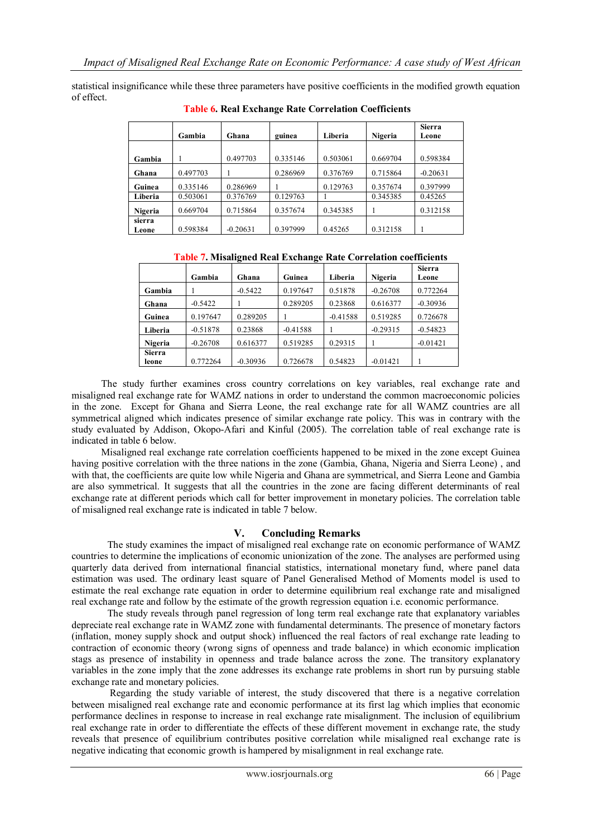statistical insignificance while these three parameters have positive coefficients in the modified growth equation of effect.

|         | Gambia   | Ghana      | guinea   | Liberia  | Nigeria  | <b>Sierra</b><br>Leone |
|---------|----------|------------|----------|----------|----------|------------------------|
|         |          | 0.497703   | 0.335146 | 0.503061 | 0.669704 | 0.598384               |
| Gambia  |          |            |          |          |          |                        |
| Ghana   | 0.497703 |            | 0.286969 | 0.376769 | 0.715864 | $-0.20631$             |
| Guinea  | 0.335146 | 0.286969   |          | 0.129763 | 0.357674 | 0.397999               |
| Liberia | 0.503061 | 0.376769   | 0.129763 |          | 0.345385 | 0.45265                |
| Nigeria | 0.669704 | 0.715864   | 0.357674 | 0.345385 |          | 0.312158               |
| sierra  |          |            |          |          |          |                        |
| Leone   | 0.598384 | $-0.20631$ | 0.397999 | 0.45265  | 0.312158 |                        |

 **Table 6. Real Exchange Rate Correlation Coefficients**

| Table 7. Misaligned Real Exchange Rate Correlation coefficients |
|-----------------------------------------------------------------|
|-----------------------------------------------------------------|

|                        | Gambia     | Ghana      | Guinea     | Liberia    | Nigeria    | <b>Sierra</b><br>Leone |
|------------------------|------------|------------|------------|------------|------------|------------------------|
| Gambia                 |            | $-0.5422$  | 0.197647   | 0.51878    | $-0.26708$ | 0.772264               |
| Ghana                  | $-0.5422$  |            | 0.289205   | 0.23868    | 0.616377   | $-0.30936$             |
| Guinea                 | 0.197647   | 0.289205   |            | $-0.41588$ | 0.519285   | 0.726678               |
| Liberia                | $-0.51878$ | 0.23868    | $-0.41588$ |            | $-0.29315$ | $-0.54823$             |
| Nigeria                | $-0.26708$ | 0.616377   | 0.519285   | 0.29315    |            | $-0.01421$             |
| <b>Sierra</b><br>leone | 0.772264   | $-0.30936$ | 0.726678   | 0.54823    | $-0.01421$ |                        |

 The study further examines cross country correlations on key variables, real exchange rate and misaligned real exchange rate for WAMZ nations in order to understand the common macroeconomic policies in the zone. Except for Ghana and Sierra Leone, the real exchange rate for all WAMZ countries are all symmetrical aligned which indicates presence of similar exchange rate policy. This was in contrary with the study evaluated by Addison, Okopo-Afari and Kinful (2005). The correlation table of real exchange rate is indicated in table 6 below.

 Misaligned real exchange rate correlation coefficients happened to be mixed in the zone except Guinea having positive correlation with the three nations in the zone (Gambia, Ghana, Nigeria and Sierra Leone) , and with that, the coefficients are quite low while Nigeria and Ghana are symmetrical, and Sierra Leone and Gambia are also symmetrical. It suggests that all the countries in the zone are facing different determinants of real exchange rate at different periods which call for better improvement in monetary policies. The correlation table of misaligned real exchange rate is indicated in table 7 below.

### **V. Concluding Remarks**

The study examines the impact of misaligned real exchange rate on economic performance of WAMZ countries to determine the implications of economic unionization of the zone. The analyses are performed using quarterly data derived from international financial statistics, international monetary fund, where panel data estimation was used. The ordinary least square of Panel Generalised Method of Moments model is used to estimate the real exchange rate equation in order to determine equilibrium real exchange rate and misaligned real exchange rate and follow by the estimate of the growth regression equation i.e. economic performance.

 The study reveals through panel regression of long term real exchange rate that explanatory variables depreciate real exchange rate in WAMZ zone with fundamental determinants. The presence of monetary factors (inflation, money supply shock and output shock) influenced the real factors of real exchange rate leading to contraction of economic theory (wrong signs of openness and trade balance) in which economic implication stags as presence of instability in openness and trade balance across the zone. The transitory explanatory variables in the zone imply that the zone addresses its exchange rate problems in short run by pursuing stable exchange rate and monetary policies.

 Regarding the study variable of interest, the study discovered that there is a negative correlation between misaligned real exchange rate and economic performance at its first lag which implies that economic performance declines in response to increase in real exchange rate misalignment. The inclusion of equilibrium real exchange rate in order to differentiate the effects of these different movement in exchange rate, the study reveals that presence of equilibrium contributes positive correlation while misaligned real exchange rate is negative indicating that economic growth is hampered by misalignment in real exchange rate.